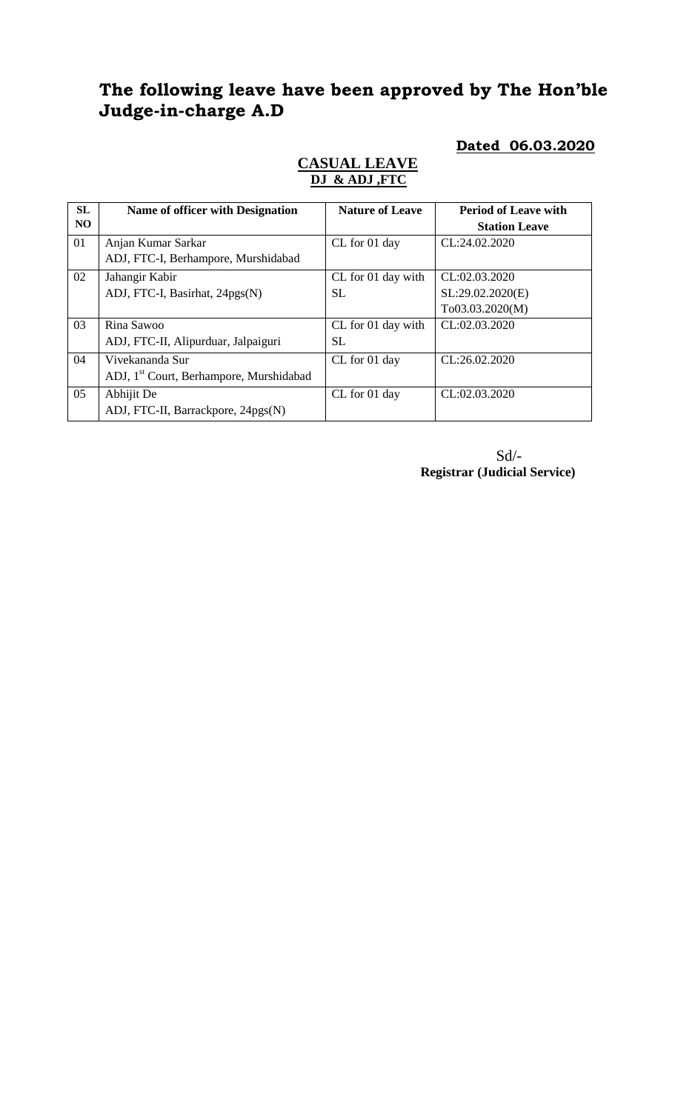# **The following leave have been approved by The Hon'ble Judge-in-charge A.D**

**Dated 06.03.2020**

| <b>SL</b><br>N <sub>O</sub> | Name of officer with Designation                                       | <b>Nature of Leave</b>          | <b>Period of Leave with</b><br><b>Station Leave</b>  |
|-----------------------------|------------------------------------------------------------------------|---------------------------------|------------------------------------------------------|
| 01                          | Anjan Kumar Sarkar<br>ADJ, FTC-I, Berhampore, Murshidabad              | CL for 01 day                   | CL:24.02.2020                                        |
| 02                          | Jahangir Kabir<br>ADJ, FTC-I, Basirhat, 24pgs(N)                       | CL for 01 day with<br><b>SL</b> | CL:02.03.2020<br>SL:29.02.2020(E)<br>To03.03.2020(M) |
| 03                          | Rina Sawoo<br>ADJ, FTC-II, Alipurduar, Jalpaiguri                      | CL for 01 day with<br><b>SL</b> | CL:02.03.2020                                        |
| 04                          | Vivekananda Sur<br>ADJ, 1 <sup>st</sup> Court, Berhampore, Murshidabad | CL for 01 day                   | CL:26.02.2020                                        |
| 05                          | Abhijit De<br>ADJ, FTC-II, Barrackpore, 24pgs(N)                       | CL for 01 day                   | CL:02.03.2020                                        |

## **CASUAL LEAVE DJ & ADJ ,FTC**

Sd/- **Registrar (Judicial Service)**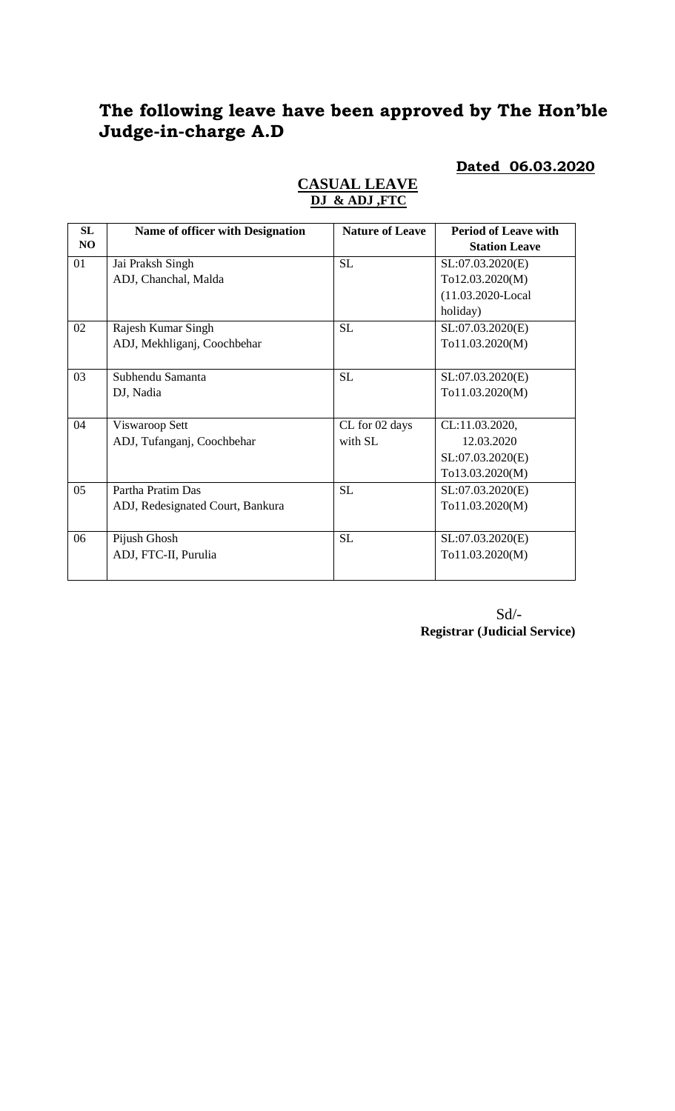## **The following leave have been approved by The Hon'ble Judge-in-charge A.D**

### **Dated 06.03.2020**

| <b>SL</b>      | <b>Name of officer with Designation</b> | <b>Nature of Leave</b> | <b>Period of Leave with</b> |
|----------------|-----------------------------------------|------------------------|-----------------------------|
| N <sub>O</sub> |                                         |                        | <b>Station Leave</b>        |
| 01             | Jai Praksh Singh                        | <b>SL</b>              | SL:07.03.2020(E)            |
|                | ADJ, Chanchal, Malda                    |                        | To12.03.2020(M)             |
|                |                                         |                        | (11.03.2020-Local           |
|                |                                         |                        | holiday)                    |
| 02             | Rajesh Kumar Singh                      | <b>SL</b>              | SL:07.03.2020(E)            |
|                | ADJ, Mekhliganj, Coochbehar             |                        | To11.03.2020(M)             |
|                |                                         |                        |                             |
| 03             | Subhendu Samanta                        | <b>SL</b>              | SL:07.03.2020(E)            |
|                | DJ, Nadia                               |                        | To11.03.2020(M)             |
|                |                                         |                        |                             |
| 04             | Viswaroop Sett                          | CL for 02 days         | CL:11.03.2020,              |
|                | ADJ, Tufanganj, Coochbehar              | with SL                | 12.03.2020                  |
|                |                                         |                        | SL:07.03.2020(E)            |
|                |                                         |                        | To13.03.2020(M)             |
| 05             | Partha Pratim Das                       | <b>SL</b>              | SL:07.03.2020(E)            |
|                | ADJ, Redesignated Court, Bankura        |                        | To11.03.2020(M)             |
|                |                                         |                        |                             |
| 06             | Pijush Ghosh                            | <b>SL</b>              | SL:07.03.2020(E)            |
|                | ADJ, FTC-II, Purulia                    |                        | To11.03.2020(M)             |
|                |                                         |                        |                             |

## **CASUAL LEAVE DJ & ADJ ,FTC**

Sd/- **Registrar (Judicial Service)**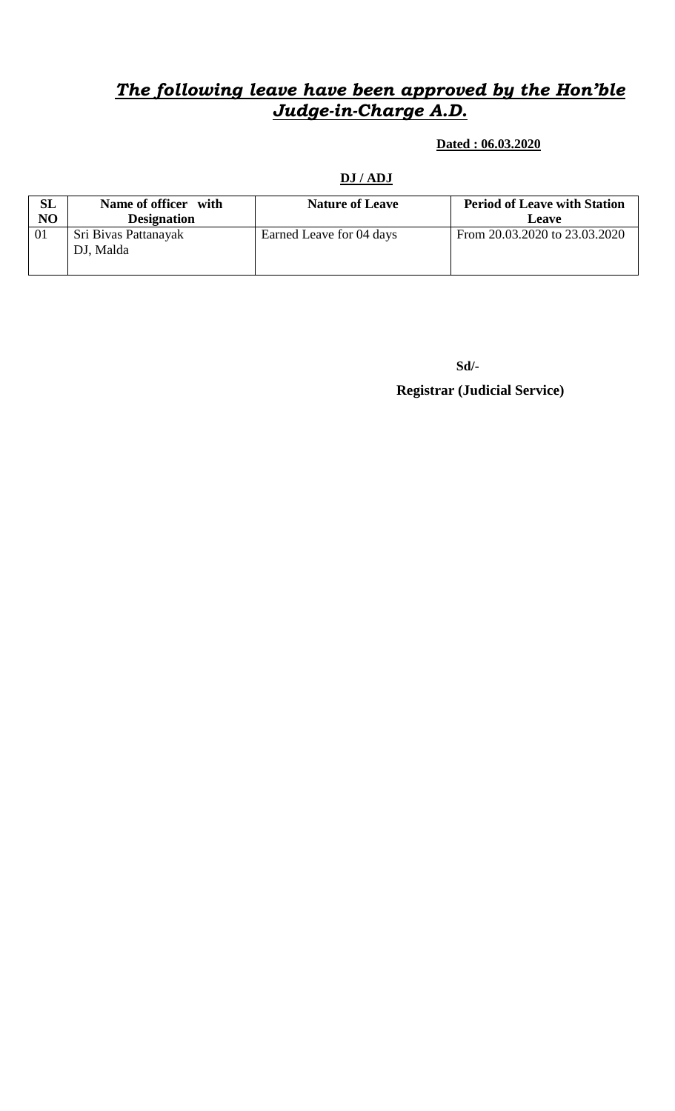## *The following leave have been approved by the Hon'ble Judge-in-Charge A.D.*

 **Dated : 06.03.2020**

### **DJ / ADJ**

| SL | Name of officer with | <b>Nature of Leave</b>   | <b>Period of Leave with Station</b> |
|----|----------------------|--------------------------|-------------------------------------|
| NO | <b>Designation</b>   |                          | Leave                               |
| 01 | Sri Bivas Pattanayak | Earned Leave for 04 days | From 20.03.2020 to 23.03.2020       |
|    | DJ, Malda            |                          |                                     |
|    |                      |                          |                                     |

**Sd/- Registrar (Judicial Service)**